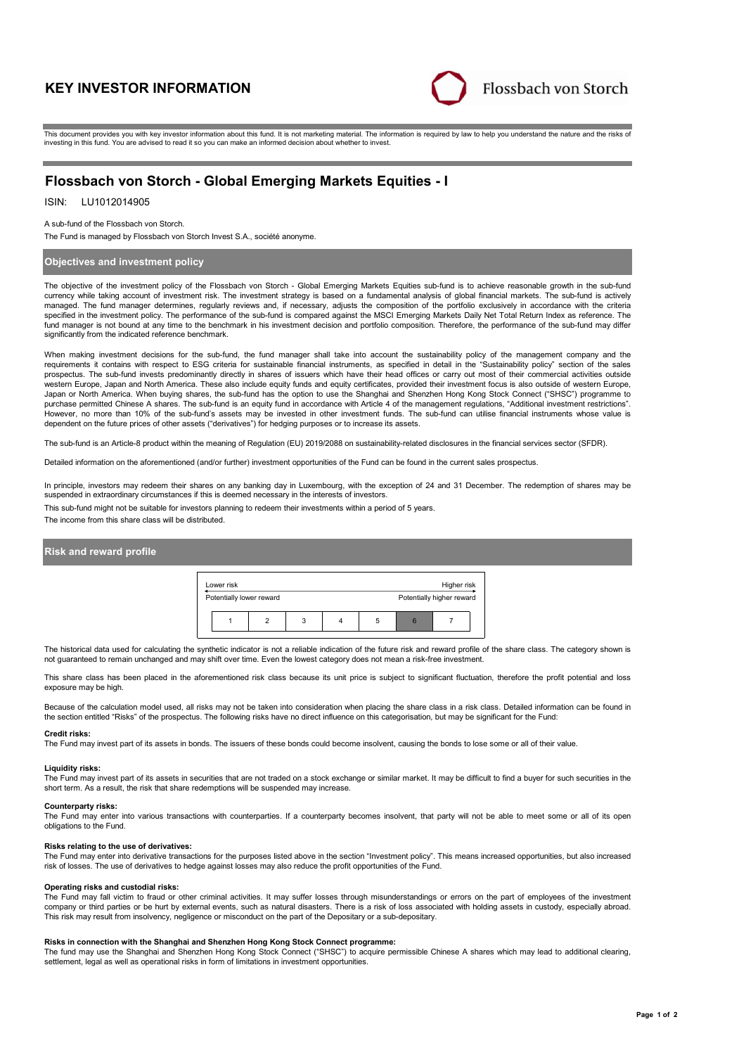# **KEY INVESTOR INFORMATION**



This document provides you with key investor information about this fund. It is not marketing material. The information is required by law to help you understand the nature and the risks of investing in this fund. You are advised to read it so you can make an informed decision about whether to invest.

# **Flossbach von Storch - Global Emerging Markets Equities - I**

## ISIN: LU1012014905

### A sub-fund of the Flossbach von Storch.

The Fund is managed by Flossbach von Storch Invest S.A., société anonyme.

### **Objectives and investment policy**

The objective of the investment policy of the Flossbach von Storch - Global Emerging Markets Equities sub-fund is to achieve reasonable growth in the sub-fund currency while taking account of investment risk. The investment strategy is based on a fundamental analysis of global financial markets. The sub-fund is actively managed. The fund manager determines, regularly reviews and, if necessary, adjusts the composition of the portfolio exclusively in accordance with the criteria specified in the investment policy. The performance of the sub-fund is compared against the MSCI Emerging Markets Daily Net Total Return Index as reference. The fund manager is not bound at any time to the benchmark in his investment decision and portfolio composition. Therefore, the performance of the sub-fund may differ significantly from the indicated reference benchmark.

When making investment decisions for the sub-fund, the fund manager shall take into account the sustainability policy of the management company and the requirements it contains with respect to ESG criteria for sustainable financial instruments, as specified in detail in the "Sustainability policy" section of the sales prospectus. The sub-fund invests predominantly directly in shares of issuers which have their head offices or carry out most of their commercial activities outside western Europe, Japan and North America. These also include equity funds and equity certificates, provided their investment focus is also outside of western Europe, Japan or North America. When buying shares, the sub-fund has the option to use the Shanghai and Shenzhen Hong Kong Stock Connect ("SHSC") programme to purchase permitted Chinese A shares. The sub-fund is an equity fund in accordance with Article 4 of the management regulations, "Additional investment restrictions". However, no more than 10% of the sub-fund's assets may be invested in other investment funds. The sub-fund can utilise financial instruments whose value is dependent on the future prices of other assets ("derivatives") for hedging purposes or to increase its assets.

The sub-fund is an Article-8 product within the meaning of Regulation (EU) 2019/2088 on sustainability-related disclosures in the financial services sector (SFDR).

Detailed information on the aforementioned (and/or further) investment opportunities of the Fund can be found in the current sales prospectus.

In principle, investors may redeem their shares on any banking day in Luxembourg, with the exception of 24 and 31 December. The redemption of shares may be suspended in extraordinary circumstances if this is deemed necessary in the interests of investors.

This sub-fund might not be suitable for investors planning to redeem their investments within a period of 5 years. The income from this share class will be distributed.

### **Risk and reward profile**



The historical data used for calculating the synthetic indicator is not a reliable indication of the future risk and reward profile of the share class. The category shown is not guaranteed to remain unchanged and may shift over time. Even the lowest category does not mean a risk-free investment.

This share class has been placed in the aforementioned risk class because its unit price is subject to significant fluctuation, therefore the profit potential and loss exposure may be high.

Because of the calculation model used, all risks may not be taken into consideration when placing the share class in a risk class. Detailed information can be found in the section entitled "Risks" of the prospectus. The following risks have no direct influence on this categorisation, but may be significant for the Fund:

#### **Credit risks:**

The Fund may invest part of its assets in bonds. The issuers of these bonds could become insolvent, causing the bonds to lose some or all of their value.

#### **Liquidity risks:**

The Fund may invest part of its assets in securities that are not traded on a stock exchange or similar market. It may be difficult to find a buyer for such securities in the short term. As a result, the risk that share redemptions will be suspended may increase.

#### **Counterparty risks:**

The Fund may enter into various transactions with counterparties. If a counterparty becomes insolvent, that party will not be able to meet some or all of its open obligations to the Fund.

#### **Risks relating to the use of derivatives:**

The Fund may enter into derivative transactions for the purposes listed above in the section "Investment policy". This means increased opportunities, but also increased risk of losses. The use of derivatives to hedge against losses may also reduce the profit opportunities of the Fund.

#### **Operating risks and custodial risks:**

The Fund may fall victim to fraud or other criminal activities. It may suffer losses through misunderstandings or errors on the part of employees of the investment company or third parties or be hurt by external events, such as natural disasters. There is a risk of loss associated with holding assets in custody, especially abroad. This risk may result from insolvency, negligence or misconduct on the part of the Depositary or a sub-depositary.

### **Risks in connection with the Shanghai and Shenzhen Hong Kong Stock Connect programme:**

The fund may use the Shanghai and Shenzhen Hong Kong Stock Connect ("SHSC") to acquire permissible Chinese A shares which may lead to additional clearing, settlement, legal as well as operational risks in form of limitations in investment opportunities.